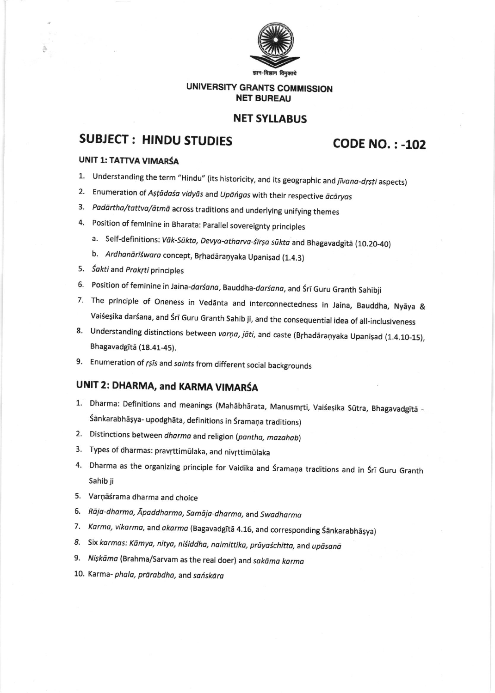

### UNIVERSITY GRANTS COMMISSION **NET BUREAU**

### **NET SYLLABUS**

# **SUBJECT: HINDU STUDIES**

## **CODE NO.: - 102**

#### **UNIT 1: TATTVA VIMARŚA**

- 1. Understanding the term "Hindu" (its historicity, and its geographic and jivana-drsti aspects)
- 2. Enumeration of Astādasa vidyās and Upāńgas with their respective ācāryas
- 3. Padārtha/tattva/ātmā across traditions and underlying unifying themes
- 4. Position of feminine in Bharata: Parallel sovereignty principles
	- a. Self-definitions: Vāk-Sūkta, Devya-atharva-śīrṣa sūkta and Bhagavadgītā (10.20-40)
	- b. Ardhanārīśwara concept, Brhadāraņyaka Upanișad (1.4.3)
- 5. Sakti and Prakrti principles
- 6. Position of feminine in Jaina-darśana, Bauddha-darśana, and Śrī Guru Granth Sahibji
- 7. The principle of Oneness in Vedanta and interconnectedness in Jaina, Bauddha, Nyaya & Vaiśeșika darśana, and Śrī Guru Granth Sahib ji, and the consequential idea of all-inclusiveness
- 8. Understanding distinctions between varņa, jāti, and caste (Brhadāraņyaka Upanișad (1.4.10-15), Bhagavadgītā (18.41-45).
- 9. Enumeration of rsis and saints from different social backgrounds

## UNIT 2: DHARMA, and KARMA VIMARŚA

- 1. Dharma: Definitions and meanings (Mahābhārata, Manusmrti, Vaiśeșika Sūtra, Bhagavadgītā -Śānkarabhāṣya- upodghāta, definitions in Śramaņa traditions)
- 2. Distinctions between dharma and religion (pantha, mazahab)
- 3. Types of dharmas: pravrttimūlaka, and nivrttimūlaka
- 4. Dharma as the organizing principle for Vaidika and Śramaņa traditions and in Śrī Guru Granth Sahib ji
- 5. Varņāśrama dharma and choice
- 6. Rāja-dharma, Āpaddharma, Samāja-dharma, and Swadharma
- 7. Karma, vikarma, and akarma (Bagavadgītā 4.16, and corresponding Śānkarabhāṣya)
- 8. Six karmas: Kāmya, nitya, niśiddha, naimittika, prāyaśchitta, and upāsanā
- 9. Nişkāma (Brahma/Sarvam as the real doer) and sakāma karma
- 10. Karma- phala, prārabdha, and sańskāra